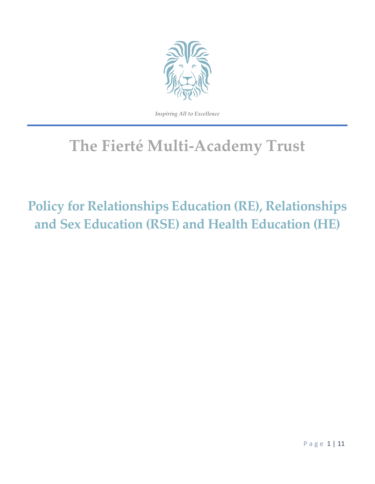

*Inspiring All to Excellence*

# **The Fierté Multi-Academy Trust**

# **Policy for Relationships Education (RE), Relationships and Sex Education (RSE) and Health Education (HE)**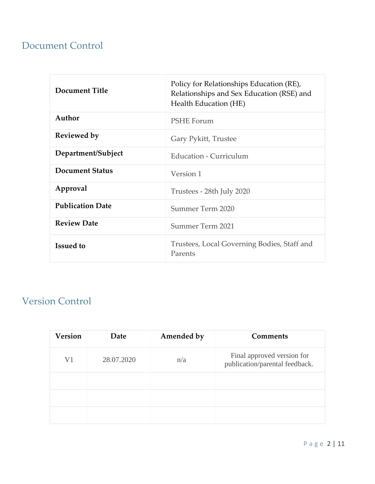# Document Control

| <b>Document Title</b>   | Policy for Relationships Education (RE),<br>Relationships and Sex Education (RSE) and<br>Health Education (HE) |  |
|-------------------------|----------------------------------------------------------------------------------------------------------------|--|
| Author                  | <b>PSHE Forum</b>                                                                                              |  |
| <b>Reviewed by</b>      | Gary Pykitt, Trustee                                                                                           |  |
| Department/Subject      | Education - Curriculum                                                                                         |  |
| <b>Document Status</b>  | Version 1                                                                                                      |  |
| Approval                | Trustees - 28th July 2020                                                                                      |  |
| <b>Publication Date</b> | Summer Term 2020                                                                                               |  |
| <b>Review Date</b>      | Summer Term 2021                                                                                               |  |
| <b>Issued to</b>        | Trustees, Local Governing Bodies, Staff and<br>Parents                                                         |  |

# Version Control

| <b>Version</b> | Date       | Amended by | <b>Comments</b>                                              |
|----------------|------------|------------|--------------------------------------------------------------|
| V <sub>1</sub> | 28.07.2020 | n/a        | Final approved version for<br>publication/parental feedback. |
|                |            |            |                                                              |
|                |            |            |                                                              |
|                |            |            |                                                              |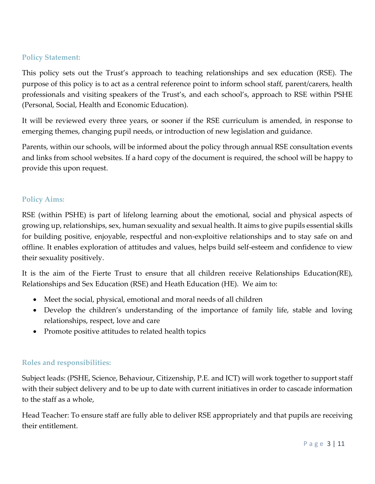#### **Policy Statement:**

This policy sets out the Trust's approach to teaching relationships and sex education (RSE). The purpose of this policy is to act as a central reference point to inform school staff, parent/carers, health professionals and visiting speakers of the Trust's, and each school's, approach to RSE within PSHE (Personal, Social, Health and Economic Education).

It will be reviewed every three years, or sooner if the RSE curriculum is amended, in response to emerging themes, changing pupil needs, or introduction of new legislation and guidance.

Parents, within our schools, will be informed about the policy through annual RSE consultation events and links from school websites. If a hard copy of the document is required, the school will be happy to provide this upon request.

## **Policy Aims:**

RSE (within PSHE) is part of lifelong learning about the emotional, social and physical aspects of growing up, relationships, sex, human sexuality and sexual health. It aims to give pupils essential skills for building positive, enjoyable, respectful and non-exploitive relationships and to stay safe on and offline. It enables exploration of attitudes and values, helps build self-esteem and confidence to view their sexuality positively.

It is the aim of the Fierte Trust to ensure that all children receive Relationships Education(RE), Relationships and Sex Education (RSE) and Heath Education (HE). We aim to:

- Meet the social, physical, emotional and moral needs of all children
- Develop the children's understanding of the importance of family life, stable and loving relationships, respect, love and care
- Promote positive attitudes to related health topics

## **Roles and responsibilities:**

Subject leads: (PSHE, Science, Behaviour, Citizenship, P.E. and ICT) will work together to support staff with their subject delivery and to be up to date with current initiatives in order to cascade information to the staff as a whole,

Head Teacher: To ensure staff are fully able to deliver RSE appropriately and that pupils are receiving their entitlement.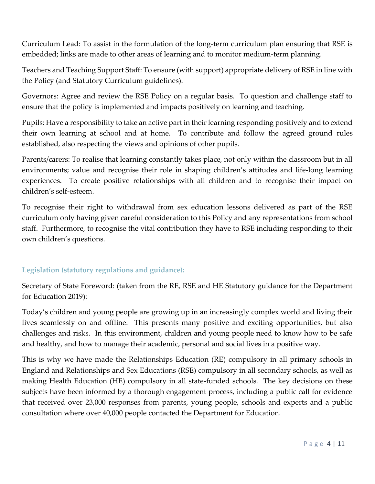Curriculum Lead: To assist in the formulation of the long-term curriculum plan ensuring that RSE is embedded; links are made to other areas of learning and to monitor medium-term planning.

Teachers and Teaching Support Staff: To ensure (with support) appropriate delivery of RSE in line with the Policy (and Statutory Curriculum guidelines).

Governors: Agree and review the RSE Policy on a regular basis. To question and challenge staff to ensure that the policy is implemented and impacts positively on learning and teaching.

Pupils: Have a responsibility to take an active part in their learning responding positively and to extend their own learning at school and at home. To contribute and follow the agreed ground rules established, also respecting the views and opinions of other pupils.

Parents/carers: To realise that learning constantly takes place, not only within the classroom but in all environments; value and recognise their role in shaping children's attitudes and life-long learning experiences. To create positive relationships with all children and to recognise their impact on children's self-esteem.

To recognise their right to withdrawal from sex education lessons delivered as part of the RSE curriculum only having given careful consideration to this Policy and any representations from school staff. Furthermore, to recognise the vital contribution they have to RSE including responding to their own children's questions.

## **Legislation (statutory regulations and guidance):**

Secretary of State Foreword: (taken from the RE, RSE and HE Statutory guidance for the Department for Education 2019):

Today's children and young people are growing up in an increasingly complex world and living their lives seamlessly on and offline. This presents many positive and exciting opportunities, but also challenges and risks. In this environment, children and young people need to know how to be safe and healthy, and how to manage their academic, personal and social lives in a positive way.

This is why we have made the Relationships Education (RE) compulsory in all primary schools in England and Relationships and Sex Educations (RSE) compulsory in all secondary schools, as well as making Health Education (HE) compulsory in all state-funded schools. The key decisions on these subjects have been informed by a thorough engagement process, including a public call for evidence that received over 23,000 responses from parents, young people, schools and experts and a public consultation where over 40,000 people contacted the Department for Education.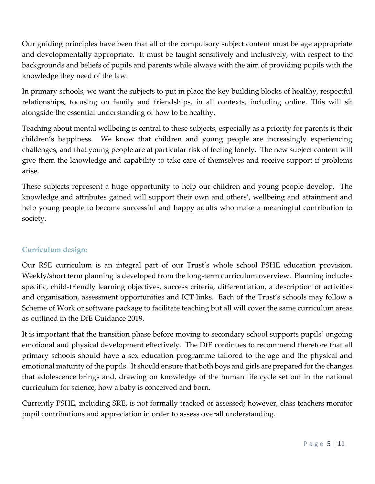Our guiding principles have been that all of the compulsory subject content must be age appropriate and developmentally appropriate. It must be taught sensitively and inclusively, with respect to the backgrounds and beliefs of pupils and parents while always with the aim of providing pupils with the knowledge they need of the law.

In primary schools, we want the subjects to put in place the key building blocks of healthy, respectful relationships, focusing on family and friendships, in all contexts, including online. This will sit alongside the essential understanding of how to be healthy.

Teaching about mental wellbeing is central to these subjects, especially as a priority for parents is their children's happiness. We know that children and young people are increasingly experiencing challenges, and that young people are at particular risk of feeling lonely. The new subject content will give them the knowledge and capability to take care of themselves and receive support if problems arise.

These subjects represent a huge opportunity to help our children and young people develop. The knowledge and attributes gained will support their own and others', wellbeing and attainment and help young people to become successful and happy adults who make a meaningful contribution to society.

## **Curriculum design:**

Our RSE curriculum is an integral part of our Trust's whole school PSHE education provision. Weekly/short term planning is developed from the long-term curriculum overview. Planning includes specific, child-friendly learning objectives, success criteria, differentiation, a description of activities and organisation, assessment opportunities and ICT links. Each of the Trust's schools may follow a Scheme of Work or software package to facilitate teaching but all will cover the same curriculum areas as outlined in the DfE Guidance 2019.

It is important that the transition phase before moving to secondary school supports pupils' ongoing emotional and physical development effectively. The DfE continues to recommend therefore that all primary schools should have a sex education programme tailored to the age and the physical and emotional maturity of the pupils. It should ensure that both boys and girls are prepared for the changes that adolescence brings and, drawing on knowledge of the human life cycle set out in the national curriculum for science, how a baby is conceived and born.

Currently PSHE, including SRE, is not formally tracked or assessed; however, class teachers monitor pupil contributions and appreciation in order to assess overall understanding.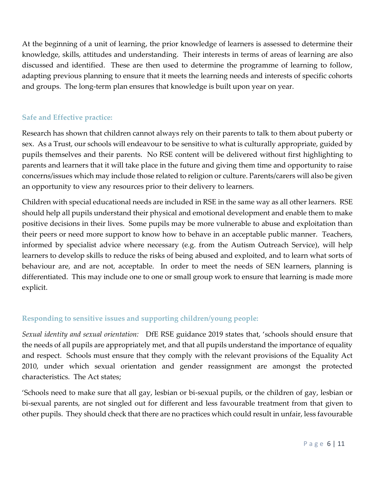At the beginning of a unit of learning, the prior knowledge of learners is assessed to determine their knowledge, skills, attitudes and understanding. Their interests in terms of areas of learning are also discussed and identified. These are then used to determine the programme of learning to follow, adapting previous planning to ensure that it meets the learning needs and interests of specific cohorts and groups. The long-term plan ensures that knowledge is built upon year on year.

# **Safe and Effective practice:**

Research has shown that children cannot always rely on their parents to talk to them about puberty or sex. As a Trust, our schools will endeavour to be sensitive to what is culturally appropriate, guided by pupils themselves and their parents. No RSE content will be delivered without first highlighting to parents and learners that it will take place in the future and giving them time and opportunity to raise concerns/issues which may include those related to religion or culture. Parents/carers will also be given an opportunity to view any resources prior to their delivery to learners.

Children with special educational needs are included in RSE in the same way as all other learners. RSE should help all pupils understand their physical and emotional development and enable them to make positive decisions in their lives. Some pupils may be more vulnerable to abuse and exploitation than their peers or need more support to know how to behave in an acceptable public manner. Teachers, informed by specialist advice where necessary (e.g. from the Autism Outreach Service), will help learners to develop skills to reduce the risks of being abused and exploited, and to learn what sorts of behaviour are, and are not, acceptable. In order to meet the needs of SEN learners, planning is differentiated. This may include one to one or small group work to ensure that learning is made more explicit.

## **Responding to sensitive issues and supporting children/young people:**

*Sexual identity and sexual orientation:* DfE RSE guidance 2019 states that, 'schools should ensure that the needs of all pupils are appropriately met, and that all pupils understand the importance of equality and respect. Schools must ensure that they comply with the relevant provisions of the Equality Act 2010, under which sexual orientation and gender reassignment are amongst the protected characteristics. The Act states;

'Schools need to make sure that all gay, lesbian or bi-sexual pupils, or the children of gay, lesbian or bi-sexual parents, are not singled out for different and less favourable treatment from that given to other pupils. They should check that there are no practices which could result in unfair, less favourable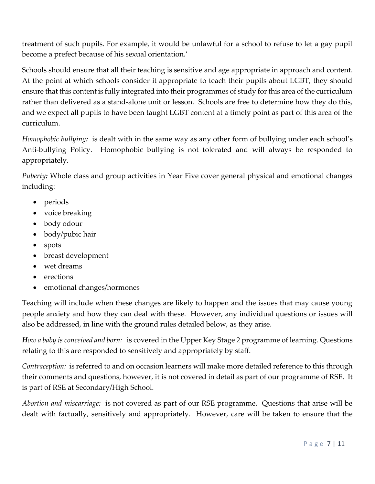treatment of such pupils. For example, it would be unlawful for a school to refuse to let a gay pupil become a prefect because of his sexual orientation.'

Schools should ensure that all their teaching is sensitive and age appropriate in approach and content. At the point at which schools consider it appropriate to teach their pupils about LGBT, they should ensure that this content is fully integrated into their programmes of study for this area of the curriculum rather than delivered as a stand-alone unit or lesson. Schools are free to determine how they do this, and we expect all pupils to have been taught LGBT content at a timely point as part of this area of the curriculum.

*Homophobic bullying:* is dealt with in the same way as any other form of bullying under each school's Anti-bullying Policy. Homophobic bullying is not tolerated and will always be responded to appropriately.

*Puberty:* Whole class and group activities in Year Five cover general physical and emotional changes including:

- periods
- voice breaking
- body odour
- body/pubic hair
- spots
- breast development
- wet dreams
- erections
- emotional changes/hormones

Teaching will include when these changes are likely to happen and the issues that may cause young people anxiety and how they can deal with these. However, any individual questions or issues will also be addressed, in line with the ground rules detailed below, as they arise.

*How a baby is conceived and born:* is covered in the Upper Key Stage 2 programme of learning. Questions relating to this are responded to sensitively and appropriately by staff.

*Contraception:* is referred to and on occasion learners will make more detailed reference to this through their comments and questions, however, it is not covered in detail as part of our programme of RSE. It is part of RSE at Secondary/High School.

*Abortion and miscarriage:* is not covered as part of our RSE programme. Questions that arise will be dealt with factually, sensitively and appropriately. However, care will be taken to ensure that the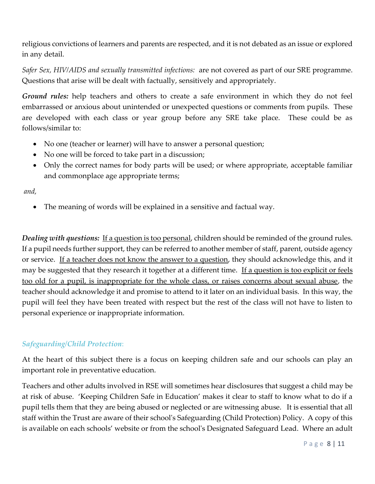religious convictions of learners and parents are respected, and it is not debated as an issue or explored in any detail.

*Safer Sex, HIV/AIDS and sexually transmitted infections:* are not covered as part of our SRE programme. Questions that arise will be dealt with factually, sensitively and appropriately.

*Ground rules:* help teachers and others to create a safe environment in which they do not feel embarrassed or anxious about unintended or unexpected questions or comments from pupils. These are developed with each class or year group before any SRE take place. These could be as follows/similar to:

- No one (teacher or learner) will have to answer a personal question;
- No one will be forced to take part in a discussion;
- Only the correct names for body parts will be used; or where appropriate, acceptable familiar and commonplace age appropriate terms;

*and,*

The meaning of words will be explained in a sensitive and factual way.

*Dealing with questions:* If a question is too personal, children should be reminded of the ground rules. If a pupil needs further support, they can be referred to another member of staff, parent, outside agency or service. If a teacher does not know the answer to a question, they should acknowledge this, and it may be suggested that they research it together at a different time. If a question is too explicit or feels too old for a pupil, is inappropriate for the whole class, or raises concerns about sexual abuse, the teacher should acknowledge it and promise to attend to it later on an individual basis. In this way, the pupil will feel they have been treated with respect but the rest of the class will not have to listen to personal experience or inappropriate information.

#### *Safeguarding/Child Protection*:

At the heart of this subject there is a focus on keeping children safe and our schools can play an important role in preventative education.

Teachers and other adults involved in RSE will sometimes hear disclosures that suggest a child may be at risk of abuse. 'Keeping Children Safe in Education' makes it clear to staff to know what to do if a pupil tells them that they are being abused or neglected or are witnessing abuse. It is essential that all staff within the Trust are aware of their school's Safeguarding (Child Protection) Policy. A copy of this is available on each schools' website or from the school's Designated Safeguard Lead. Where an adult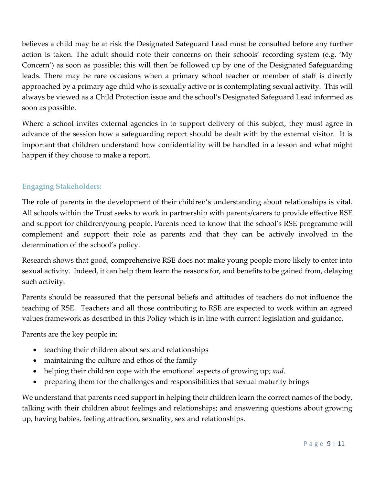believes a child may be at risk the Designated Safeguard Lead must be consulted before any further action is taken. The adult should note their concerns on their schools' recording system (e.g. 'My Concern') as soon as possible; this will then be followed up by one of the Designated Safeguarding leads. There may be rare occasions when a primary school teacher or member of staff is directly approached by a primary age child who is sexually active or is contemplating sexual activity. This will always be viewed as a Child Protection issue and the school's Designated Safeguard Lead informed as soon as possible.

Where a school invites external agencies in to support delivery of this subject, they must agree in advance of the session how a safeguarding report should be dealt with by the external visitor. It is important that children understand how confidentiality will be handled in a lesson and what might happen if they choose to make a report.

## **Engaging Stakeholders:**

The role of parents in the development of their children's understanding about relationships is vital. All schools within the Trust seeks to work in partnership with parents/carers to provide effective RSE and support for children/young people. Parents need to know that the school's RSE programme will complement and support their role as parents and that they can be actively involved in the determination of the school's policy.

Research shows that good, comprehensive RSE does not make young people more likely to enter into sexual activity. Indeed, it can help them learn the reasons for, and benefits to be gained from, delaying such activity.

Parents should be reassured that the personal beliefs and attitudes of teachers do not influence the teaching of RSE. Teachers and all those contributing to RSE are expected to work within an agreed values framework as described in this Policy which is in line with current legislation and guidance.

Parents are the key people in:

- teaching their children about sex and relationships
- maintaining the culture and ethos of the family
- helping their children cope with the emotional aspects of growing up; *and,*
- preparing them for the challenges and responsibilities that sexual maturity brings

We understand that parents need support in helping their children learn the correct names of the body, talking with their children about feelings and relationships; and answering questions about growing up, having babies, feeling attraction, sexuality, sex and relationships.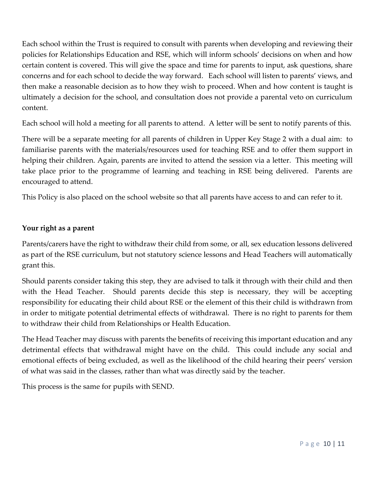Each school within the Trust is required to consult with parents when developing and reviewing their policies for Relationships Education and RSE, which will inform schools' decisions on when and how certain content is covered. This will give the space and time for parents to input, ask questions, share concerns and for each school to decide the way forward. Each school will listen to parents' views, and then make a reasonable decision as to how they wish to proceed. When and how content is taught is ultimately a decision for the school, and consultation does not provide a parental veto on curriculum content.

Each school will hold a meeting for all parents to attend. A letter will be sent to notify parents of this.

There will be a separate meeting for all parents of children in Upper Key Stage 2 with a dual aim: to familiarise parents with the materials/resources used for teaching RSE and to offer them support in helping their children. Again, parents are invited to attend the session via a letter. This meeting will take place prior to the programme of learning and teaching in RSE being delivered. Parents are encouraged to attend.

This Policy is also placed on the school website so that all parents have access to and can refer to it.

#### **Your right as a parent**

Parents/carers have the right to withdraw their child from some, or all, sex education lessons delivered as part of the RSE curriculum, but not statutory science lessons and Head Teachers will automatically grant this.

Should parents consider taking this step, they are advised to talk it through with their child and then with the Head Teacher. Should parents decide this step is necessary, they will be accepting responsibility for educating their child about RSE or the element of this their child is withdrawn from in order to mitigate potential detrimental effects of withdrawal. There is no right to parents for them to withdraw their child from Relationships or Health Education.

The Head Teacher may discuss with parents the benefits of receiving this important education and any detrimental effects that withdrawal might have on the child. This could include any social and emotional effects of being excluded, as well as the likelihood of the child hearing their peers' version of what was said in the classes, rather than what was directly said by the teacher.

This process is the same for pupils with SEND.